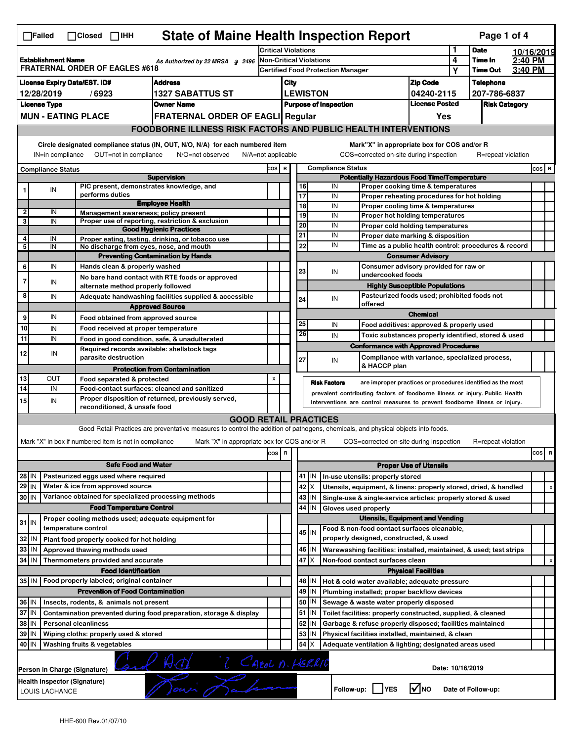| <b>State of Maine Health Inspection Report</b><br>Page 1 of 4<br>$\Box$ Failed<br>$\Box$ Closed $\Box$ IHH |                                                                                                                                                                       |                               |                                                                                                                                                                                                                  |                                                                                                                                   |                     |                                   |          |                  |                              |                                                                                                        |                                       |             |                      |         |     |   |  |
|------------------------------------------------------------------------------------------------------------|-----------------------------------------------------------------------------------------------------------------------------------------------------------------------|-------------------------------|------------------------------------------------------------------------------------------------------------------------------------------------------------------------------------------------------------------|-----------------------------------------------------------------------------------------------------------------------------------|---------------------|-----------------------------------|----------|------------------|------------------------------|--------------------------------------------------------------------------------------------------------|---------------------------------------|-------------|----------------------|---------|-----|---|--|
|                                                                                                            |                                                                                                                                                                       |                               |                                                                                                                                                                                                                  |                                                                                                                                   | Critical Violations |                                   |          |                  |                              |                                                                                                        | 1                                     | <b>Date</b> | 10/16/2019           |         |     |   |  |
| <b>Establishment Name</b><br>As Authorized by 22 MRSA § 2496<br><b>FRATERNAL ORDER OF EAGLES #618</b>      |                                                                                                                                                                       |                               |                                                                                                                                                                                                                  | <b>Non-Critical Violations</b><br><b>Certified Food Protection Manager</b>                                                        |                     |                                   |          |                  | 4                            | Time In<br><b>Time Out</b>                                                                             | 2:40 PM<br>3:40 PM                    |             |                      |         |     |   |  |
|                                                                                                            |                                                                                                                                                                       |                               |                                                                                                                                                                                                                  |                                                                                                                                   |                     |                                   |          |                  |                              |                                                                                                        |                                       | Υ           |                      |         |     |   |  |
| <b>License Expiry Date/EST. ID#</b><br><b>Address</b>                                                      |                                                                                                                                                                       |                               |                                                                                                                                                                                                                  |                                                                                                                                   |                     | City                              |          |                  |                              |                                                                                                        | <b>Zip Code</b>                       |             | <b>Telephone</b>     |         |     |   |  |
| 12/28/2019<br>/6923<br><b>1327 SABATTUS ST</b><br><b>License Type</b>                                      |                                                                                                                                                                       |                               |                                                                                                                                                                                                                  |                                                                                                                                   |                     |                                   |          | <b>LEWISTON</b>  |                              |                                                                                                        | 04240-2115<br><b>License Posted</b>   |             | 207-786-6837         |         |     |   |  |
|                                                                                                            |                                                                                                                                                                       | <b>MUN - EATING PLACE</b>     |                                                                                                                                                                                                                  | <b>Owner Name</b>                                                                                                                 |                     |                                   |          |                  | <b>Purpose of Inspection</b> |                                                                                                        |                                       |             | <b>Risk Category</b> |         |     |   |  |
|                                                                                                            |                                                                                                                                                                       |                               |                                                                                                                                                                                                                  | <b>FRATERNAL ORDER OF EAGLI Regular</b>                                                                                           |                     |                                   |          |                  |                              |                                                                                                        | Yes                                   |             |                      |         |     |   |  |
|                                                                                                            |                                                                                                                                                                       |                               |                                                                                                                                                                                                                  | <b>FOODBORNE ILLNESS RISK FACTORS AND PUBLIC HEALTH INTERVENTIONS</b>                                                             |                     |                                   |          |                  |                              |                                                                                                        |                                       |             |                      |         |     |   |  |
|                                                                                                            | Circle designated compliance status (IN, OUT, N/O, N/A) for each numbered item<br>IN=in compliance<br>OUT=not in compliance<br>N/O=not observed<br>N/A=not applicable |                               |                                                                                                                                                                                                                  |                                                                                                                                   |                     |                                   |          |                  |                              | Mark"X" in appropriate box for COS and/or R<br>COS=corrected on-site during inspection                 |                                       |             | R=repeat violation   |         |     |   |  |
|                                                                                                            | <b>Compliance Status</b>                                                                                                                                              |                               |                                                                                                                                                                                                                  |                                                                                                                                   |                     | <b>Compliance Status</b><br>COS R |          |                  |                              |                                                                                                        |                                       |             |                      | $cos$ R |     |   |  |
| <b>Supervision</b>                                                                                         |                                                                                                                                                                       |                               |                                                                                                                                                                                                                  | <b>Potentially Hazardous Food Time/Temperature</b>                                                                                |                     |                                   |          |                  |                              |                                                                                                        |                                       |             |                      |         |     |   |  |
| 1                                                                                                          | IN                                                                                                                                                                    |                               |                                                                                                                                                                                                                  | PIC present, demonstrates knowledge, and                                                                                          |                     |                                   | 16       |                  | IN                           | Proper cooking time & temperatures                                                                     |                                       |             |                      |         |     |   |  |
|                                                                                                            |                                                                                                                                                                       | performs duties               |                                                                                                                                                                                                                  | <b>Employee Health</b>                                                                                                            |                     |                                   | 17<br>18 |                  | IN<br>IN                     | Proper reheating procedures for hot holding                                                            |                                       |             |                      |         |     |   |  |
| $\overline{\mathbf{2}}$                                                                                    | IN                                                                                                                                                                    |                               |                                                                                                                                                                                                                  | Management awareness; policy present                                                                                              |                     |                                   | 19       |                  | IN                           | Proper cooling time & temperatures<br>Proper hot holding temperatures                                  |                                       |             |                      |         |     |   |  |
| 3                                                                                                          | IN                                                                                                                                                                    |                               |                                                                                                                                                                                                                  | Proper use of reporting, restriction & exclusion                                                                                  |                     |                                   | 20       |                  | IN                           | Proper cold holding temperatures                                                                       |                                       |             |                      |         |     |   |  |
| 4                                                                                                          | IN                                                                                                                                                                    |                               |                                                                                                                                                                                                                  | <b>Good Hygienic Practices</b><br>Proper eating, tasting, drinking, or tobacco use                                                |                     |                                   | 21       |                  | IN                           | Proper date marking & disposition                                                                      |                                       |             |                      |         |     |   |  |
| 5                                                                                                          | IN                                                                                                                                                                    |                               |                                                                                                                                                                                                                  | No discharge from eyes, nose, and mouth                                                                                           |                     |                                   | 22       |                  | IN                           | Time as a public health control: procedures & record                                                   |                                       |             |                      |         |     |   |  |
|                                                                                                            |                                                                                                                                                                       |                               |                                                                                                                                                                                                                  | <b>Preventing Contamination by Hands</b>                                                                                          |                     |                                   |          |                  |                              | <b>Consumer Advisory</b>                                                                               |                                       |             |                      |         |     |   |  |
| 6                                                                                                          | IN                                                                                                                                                                    |                               | Hands clean & properly washed                                                                                                                                                                                    |                                                                                                                                   |                     |                                   | 23       |                  |                              | Consumer advisory provided for raw or                                                                  |                                       |             |                      |         |     |   |  |
| 7                                                                                                          |                                                                                                                                                                       |                               |                                                                                                                                                                                                                  | No bare hand contact with RTE foods or approved                                                                                   |                     |                                   |          |                  | IN                           | undercooked foods                                                                                      |                                       |             |                      |         |     |   |  |
|                                                                                                            | IN                                                                                                                                                                    |                               | alternate method properly followed                                                                                                                                                                               |                                                                                                                                   |                     |                                   |          |                  |                              |                                                                                                        | <b>Highly Susceptible Populations</b> |             |                      |         |     |   |  |
| 8                                                                                                          | IN                                                                                                                                                                    |                               |                                                                                                                                                                                                                  | Adequate handwashing facilities supplied & accessible                                                                             |                     |                                   | 24       |                  | IN                           | Pasteurized foods used; prohibited foods not<br>offered                                                |                                       |             |                      |         |     |   |  |
|                                                                                                            |                                                                                                                                                                       |                               |                                                                                                                                                                                                                  | <b>Approved Source</b>                                                                                                            |                     |                                   |          |                  |                              |                                                                                                        | <b>Chemical</b>                       |             |                      |         |     |   |  |
| 9                                                                                                          | IN                                                                                                                                                                    |                               | Food obtained from approved source                                                                                                                                                                               |                                                                                                                                   |                     |                                   | 25       |                  | IN                           | Food additives: approved & properly used                                                               |                                       |             |                      |         |     |   |  |
| 10                                                                                                         | IN                                                                                                                                                                    |                               | Food received at proper temperature                                                                                                                                                                              |                                                                                                                                   |                     |                                   | 26       |                  | IN                           | Toxic substances properly identified, stored & used                                                    |                                       |             |                      |         |     |   |  |
| 11                                                                                                         | IN                                                                                                                                                                    |                               |                                                                                                                                                                                                                  | Food in good condition, safe, & unadulterated                                                                                     |                     |                                   |          |                  |                              | <b>Conformance with Approved Procedures</b>                                                            |                                       |             |                      |         |     |   |  |
| 12                                                                                                         | IN                                                                                                                                                                    |                               | parasite destruction                                                                                                                                                                                             | Required records available: shellstock tags                                                                                       |                     |                                   |          |                  |                              | Compliance with variance, specialized process,                                                         |                                       |             |                      |         |     |   |  |
|                                                                                                            |                                                                                                                                                                       |                               |                                                                                                                                                                                                                  | <b>Protection from Contamination</b>                                                                                              |                     |                                   | 27       |                  | IN                           | & HACCP plan                                                                                           |                                       |             |                      |         |     |   |  |
| 13                                                                                                         | OUT                                                                                                                                                                   |                               |                                                                                                                                                                                                                  |                                                                                                                                   | X                   |                                   |          |                  |                              |                                                                                                        |                                       |             |                      |         |     |   |  |
| 14                                                                                                         | IN                                                                                                                                                                    |                               | Food separated & protected<br><b>Risk Factors</b><br>are improper practices or procedures identified as the most<br>Food-contact surfaces: cleaned and sanitized                                                 |                                                                                                                                   |                     |                                   |          |                  |                              |                                                                                                        |                                       |             |                      |         |     |   |  |
| 15 <sup>1</sup>                                                                                            | IN                                                                                                                                                                    |                               | prevalent contributing factors of foodborne illness or injury. Public Health<br>Proper disposition of returned, previously served,<br>Interventions are control measures to prevent foodborne illness or injury. |                                                                                                                                   |                     |                                   |          |                  |                              |                                                                                                        |                                       |             |                      |         |     |   |  |
|                                                                                                            |                                                                                                                                                                       |                               | reconditioned, & unsafe food                                                                                                                                                                                     |                                                                                                                                   |                     |                                   |          |                  |                              |                                                                                                        |                                       |             |                      |         |     |   |  |
|                                                                                                            |                                                                                                                                                                       |                               |                                                                                                                                                                                                                  | <b>GOOD RETAIL PRACTICES</b>                                                                                                      |                     |                                   |          |                  |                              |                                                                                                        |                                       |             |                      |         |     |   |  |
|                                                                                                            |                                                                                                                                                                       |                               |                                                                                                                                                                                                                  | Good Retail Practices are preventative measures to control the addition of pathogens, chemicals, and physical objects into foods. |                     |                                   |          |                  |                              |                                                                                                        |                                       |             |                      |         |     |   |  |
|                                                                                                            |                                                                                                                                                                       |                               | Mark "X" in box if numbered item is not in compliance                                                                                                                                                            | Mark "X" in appropriate box for COS and/or R                                                                                      |                     |                                   |          |                  |                              | COS=corrected on-site during inspection                                                                |                                       |             | R=repeat violation   |         |     |   |  |
|                                                                                                            |                                                                                                                                                                       |                               |                                                                                                                                                                                                                  |                                                                                                                                   | cos R               |                                   |          |                  |                              |                                                                                                        |                                       |             |                      |         | cos | R |  |
|                                                                                                            | <b>Safe Food and Water</b>                                                                                                                                            |                               |                                                                                                                                                                                                                  |                                                                                                                                   |                     |                                   |          |                  |                              |                                                                                                        | <b>Proper Use of Utensils</b>         |             |                      |         |     |   |  |
| 28 IN                                                                                                      |                                                                                                                                                                       |                               | Pasteurized eggs used where required                                                                                                                                                                             |                                                                                                                                   |                     |                                   |          |                  |                              | 41   IN   In-use utensils: properly stored                                                             |                                       |             |                      |         |     |   |  |
|                                                                                                            | 29 IN<br>Water & ice from approved source                                                                                                                             |                               |                                                                                                                                                                                                                  |                                                                                                                                   |                     |                                   |          | $42 \times$      |                              | Utensils, equipment, & linens: properly stored, dried, & handled                                       |                                       |             |                      |         |     |   |  |
| 30 IN                                                                                                      |                                                                                                                                                                       |                               |                                                                                                                                                                                                                  | Variance obtained for specialized processing methods                                                                              |                     |                                   |          | 43 IN            |                              | Single-use & single-service articles: properly stored & used                                           |                                       |             |                      |         |     |   |  |
|                                                                                                            |                                                                                                                                                                       |                               | <b>Food Temperature Control</b>                                                                                                                                                                                  |                                                                                                                                   |                     |                                   |          | 44<br>IN         | Gloves used properly         |                                                                                                        |                                       |             |                      |         |     |   |  |
| $31$ IN                                                                                                    |                                                                                                                                                                       |                               |                                                                                                                                                                                                                  | Proper cooling methods used; adequate equipment for                                                                               |                     |                                   |          |                  |                              | <b>Utensils, Equipment and Vending</b>                                                                 |                                       |             |                      |         |     |   |  |
|                                                                                                            |                                                                                                                                                                       | temperature control           |                                                                                                                                                                                                                  |                                                                                                                                   |                     |                                   |          | 45 IN            |                              | Food & non-food contact surfaces cleanable,                                                            |                                       |             |                      |         |     |   |  |
| 32 IN                                                                                                      |                                                                                                                                                                       |                               | Plant food properly cooked for hot holding                                                                                                                                                                       |                                                                                                                                   |                     |                                   |          |                  |                              | properly designed, constructed, & used                                                                 |                                       |             |                      |         |     |   |  |
| 33   IN                                                                                                    |                                                                                                                                                                       | Approved thawing methods used |                                                                                                                                                                                                                  |                                                                                                                                   |                     |                                   |          | 46 IN            |                              | Warewashing facilities: installed, maintained, & used; test strips                                     |                                       |             |                      |         |     | х |  |
| 34 IN                                                                                                      |                                                                                                                                                                       |                               | Thermometers provided and accurate                                                                                                                                                                               |                                                                                                                                   |                     |                                   | 47       | ΙX               |                              | Non-food contact surfaces clean                                                                        |                                       |             |                      |         |     |   |  |
|                                                                                                            |                                                                                                                                                                       |                               | <b>Food Identification</b>                                                                                                                                                                                       |                                                                                                                                   |                     |                                   |          |                  |                              |                                                                                                        | <b>Physical Facilities</b>            |             |                      |         |     |   |  |
|                                                                                                            |                                                                                                                                                                       |                               | 35 IN   Food properly labeled; original container                                                                                                                                                                |                                                                                                                                   |                     |                                   |          | 48   IN<br>49 IN |                              | Hot & cold water available; adequate pressure                                                          |                                       |             |                      |         |     |   |  |
|                                                                                                            | <b>Prevention of Food Contamination</b><br>36 IN<br>Insects, rodents, & animals not present                                                                           |                               |                                                                                                                                                                                                                  |                                                                                                                                   |                     |                                   | 50       | IN               |                              | Plumbing installed; proper backflow devices                                                            |                                       |             |                      |         |     |   |  |
| 37 IN                                                                                                      |                                                                                                                                                                       |                               |                                                                                                                                                                                                                  | Contamination prevented during food preparation, storage & display                                                                |                     |                                   |          | 51 J IN          |                              | Sewage & waste water properly disposed<br>Toilet facilities: properly constructed, supplied, & cleaned |                                       |             |                      |         |     |   |  |
| 38   IN                                                                                                    |                                                                                                                                                                       | <b>Personal cleanliness</b>   |                                                                                                                                                                                                                  |                                                                                                                                   |                     |                                   |          | 52 IN            |                              | Garbage & refuse properly disposed; facilities maintained                                              |                                       |             |                      |         |     |   |  |
| 39 IN                                                                                                      |                                                                                                                                                                       |                               | Wiping cloths: properly used & stored                                                                                                                                                                            |                                                                                                                                   |                     |                                   | 53       | IN               |                              | Physical facilities installed, maintained, & clean                                                     |                                       |             |                      |         |     |   |  |
| 40 IN                                                                                                      |                                                                                                                                                                       |                               |                                                                                                                                                                                                                  |                                                                                                                                   |                     |                                   | 54       | X                |                              |                                                                                                        |                                       |             |                      |         |     |   |  |
|                                                                                                            | Washing fruits & vegetables<br>Adequate ventilation & lighting; designated areas used                                                                                 |                               |                                                                                                                                                                                                                  |                                                                                                                                   |                     |                                   |          |                  |                              |                                                                                                        |                                       |             |                      |         |     |   |  |
| Date: 10/16/2019<br>Person in Charge (Signature)                                                           |                                                                                                                                                                       |                               |                                                                                                                                                                                                                  |                                                                                                                                   |                     |                                   |          |                  |                              |                                                                                                        |                                       |             |                      |         |     |   |  |
|                                                                                                            | Health Inspector (Signature)                                                                                                                                          |                               |                                                                                                                                                                                                                  |                                                                                                                                   |                     |                                   |          |                  |                              |                                                                                                        |                                       |             |                      |         |     |   |  |
|                                                                                                            | AM (Caeol n. HERRIC<br>l√lno<br>Follow-up:     YES<br>Date of Follow-up:<br>LOUIS LACHANCE                                                                            |                               |                                                                                                                                                                                                                  |                                                                                                                                   |                     |                                   |          |                  |                              |                                                                                                        |                                       |             |                      |         |     |   |  |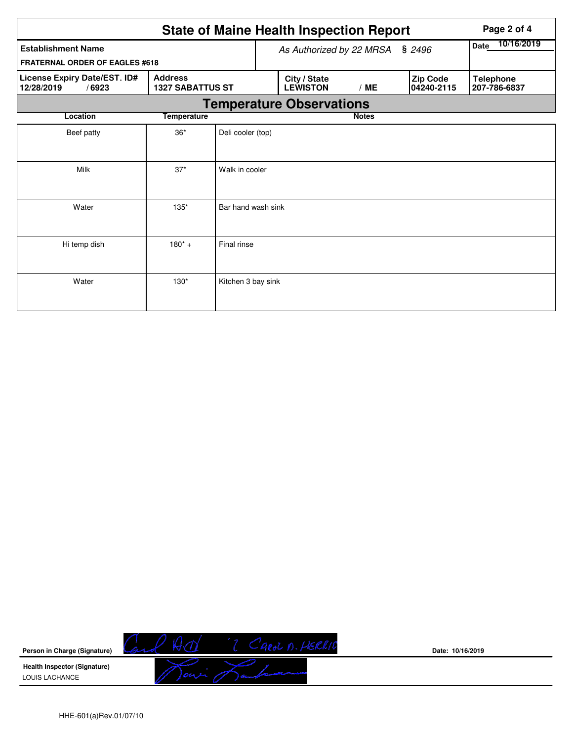|                                                                                                  |                                    |                    |                                 | <b>State of Maine Health Inspection Report</b> | Page 2 of 4  |                           |                        |                                  |  |  |  |
|--------------------------------------------------------------------------------------------------|------------------------------------|--------------------|---------------------------------|------------------------------------------------|--------------|---------------------------|------------------------|----------------------------------|--|--|--|
| <b>Establishment Name</b>                                                                        | \$2496<br>As Authorized by 22 MRSA |                    |                                 |                                                |              | 10/16/2019<br><b>Date</b> |                        |                                  |  |  |  |
| <b>FRATERNAL ORDER OF EAGLES #618</b>                                                            |                                    |                    |                                 |                                                |              |                           |                        |                                  |  |  |  |
| License Expiry Date/EST. ID#<br><b>Address</b><br>12/28/2019<br>/6923<br><b>1327 SABATTUS ST</b> |                                    |                    |                                 | City / State<br><b>LEWISTON</b>                | /ME          |                           | Zip Code<br>04240-2115 | <b>Telephone</b><br>207-786-6837 |  |  |  |
|                                                                                                  |                                    |                    | <b>Temperature Observations</b> |                                                |              |                           |                        |                                  |  |  |  |
| Location                                                                                         | <b>Temperature</b>                 |                    |                                 |                                                | <b>Notes</b> |                           |                        |                                  |  |  |  |
| Beef patty                                                                                       | $36*$                              | Deli cooler (top)  |                                 |                                                |              |                           |                        |                                  |  |  |  |
| $37*$<br>Milk<br>Walk in cooler                                                                  |                                    |                    |                                 |                                                |              |                           |                        |                                  |  |  |  |
| Water                                                                                            | Bar hand wash sink                 |                    |                                 |                                                |              |                           |                        |                                  |  |  |  |
| Hi temp dish                                                                                     | $180^*$ +                          | Final rinse        |                                 |                                                |              |                           |                        |                                  |  |  |  |
| Water                                                                                            | $130*$                             | Kitchen 3 bay sink |                                 |                                                |              |                           |                        |                                  |  |  |  |



**Date: 10/16/2019**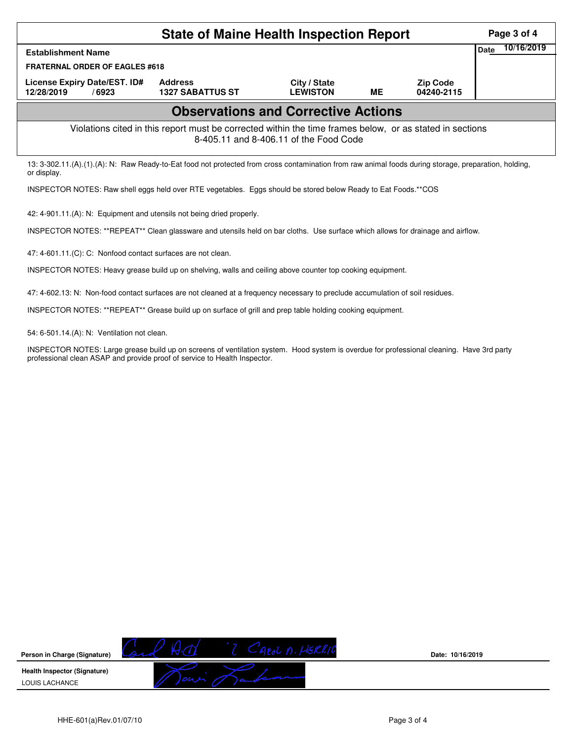| <b>State of Maine Health Inspection Report</b>                                                                                                                                                                         |                                           |                                 |           |                               |                           |  |  |  |  |  |
|------------------------------------------------------------------------------------------------------------------------------------------------------------------------------------------------------------------------|-------------------------------------------|---------------------------------|-----------|-------------------------------|---------------------------|--|--|--|--|--|
| <b>Establishment Name</b>                                                                                                                                                                                              |                                           |                                 |           |                               | 10/16/2019<br><b>Date</b> |  |  |  |  |  |
| FRATERNAL ORDER OF EAGLES #618                                                                                                                                                                                         |                                           |                                 |           |                               |                           |  |  |  |  |  |
| License Expiry Date/EST. ID#<br>12/28/2019<br>/6923                                                                                                                                                                    | <b>Address</b><br><b>1327 SABATTUS ST</b> | City / State<br><b>LEWISTON</b> | <b>ME</b> | <b>Zip Code</b><br>04240-2115 |                           |  |  |  |  |  |
| <b>Observations and Corrective Actions</b>                                                                                                                                                                             |                                           |                                 |           |                               |                           |  |  |  |  |  |
| Violations cited in this report must be corrected within the time frames below, or as stated in sections<br>8-405.11 and 8-406.11 of the Food Code                                                                     |                                           |                                 |           |                               |                           |  |  |  |  |  |
| 13: 3-302.11.(A).(1).(A): N: Raw Ready-to-Eat food not protected from cross contamination from raw animal foods during storage, preparation, holding,<br>or display.                                                   |                                           |                                 |           |                               |                           |  |  |  |  |  |
| INSPECTOR NOTES: Raw shell eggs held over RTE vegetables. Eggs should be stored below Ready to Eat Foods.**COS                                                                                                         |                                           |                                 |           |                               |                           |  |  |  |  |  |
| 42: 4-901.11.(A): N: Equipment and utensils not being dried properly.                                                                                                                                                  |                                           |                                 |           |                               |                           |  |  |  |  |  |
| INSPECTOR NOTES: **REPEAT** Clean glassware and utensils held on bar cloths. Use surface which allows for drainage and airflow.                                                                                        |                                           |                                 |           |                               |                           |  |  |  |  |  |
| 47: 4-601.11.(C): C: Nonfood contact surfaces are not clean.                                                                                                                                                           |                                           |                                 |           |                               |                           |  |  |  |  |  |
| INSPECTOR NOTES: Heavy grease build up on shelving, walls and ceiling above counter top cooking equipment.                                                                                                             |                                           |                                 |           |                               |                           |  |  |  |  |  |
| 47: 4-602.13: N: Non-food contact surfaces are not cleaned at a frequency necessary to preclude accumulation of soil residues.                                                                                         |                                           |                                 |           |                               |                           |  |  |  |  |  |
| INSPECTOR NOTES: **REPEAT** Grease build up on surface of grill and prep table holding cooking equipment.                                                                                                              |                                           |                                 |           |                               |                           |  |  |  |  |  |
| 54: 6-501.14.(A): N: Ventilation not clean.                                                                                                                                                                            |                                           |                                 |           |                               |                           |  |  |  |  |  |
| INSPECTOR NOTES: Large grease build up on screens of ventilation system. Hood system is overdue for professional cleaning. Have 3rd party<br>professional clean ASAP and provide proof of service to Health Inspector. |                                           |                                 |           |                               |                           |  |  |  |  |  |
|                                                                                                                                                                                                                        |                                           |                                 |           |                               |                           |  |  |  |  |  |
|                                                                                                                                                                                                                        |                                           |                                 |           |                               |                           |  |  |  |  |  |
|                                                                                                                                                                                                                        |                                           |                                 |           |                               |                           |  |  |  |  |  |
|                                                                                                                                                                                                                        |                                           |                                 |           |                               |                           |  |  |  |  |  |
|                                                                                                                                                                                                                        |                                           |                                 |           |                               |                           |  |  |  |  |  |
|                                                                                                                                                                                                                        |                                           |                                 |           |                               |                           |  |  |  |  |  |
|                                                                                                                                                                                                                        |                                           |                                 |           |                               |                           |  |  |  |  |  |
|                                                                                                                                                                                                                        |                                           |                                 |           |                               |                           |  |  |  |  |  |
|                                                                                                                                                                                                                        |                                           |                                 |           |                               |                           |  |  |  |  |  |
|                                                                                                                                                                                                                        |                                           |                                 |           |                               |                           |  |  |  |  |  |
|                                                                                                                                                                                                                        |                                           |                                 |           |                               |                           |  |  |  |  |  |